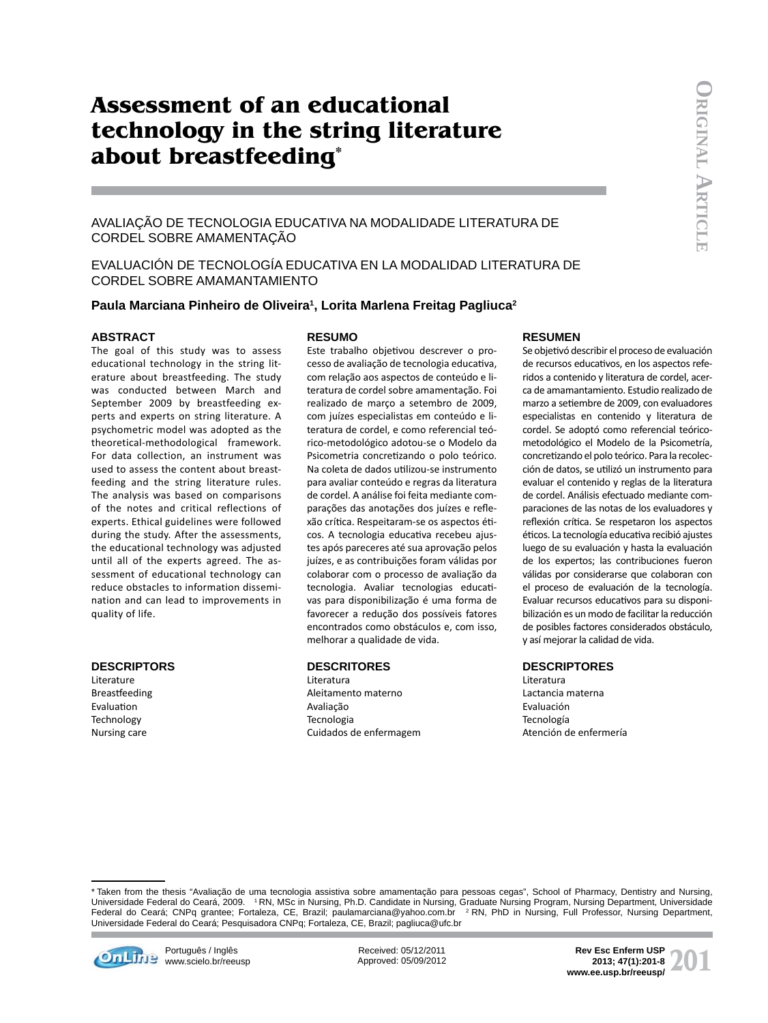# **Assessment of an educational technology in the string literature about breastfeeding\***

# AVALIAÇÃO DE TECNOLOGIA EDUCATIVA NA MODALIDADE LITERATURA DE CORDEL SOBRE AMAMENTAÇÃO

EVALUACIÓN DE TECNOLOGÍA EDUCATIVA EN LA MODALIDAD LITERATURA DE CORDEL SOBRE AMAMANTAMIENTO

## **Paula Marciana Pinheiro de Oliveira1 , Lorita Marlena Freitag Pagliuca2**

#### **ABSTRACT**

**RESUMO**

The goal of this study was to assess educational technology in the string literature about breastfeeding. The study was conducted between March and September 2009 by breastfeeding experts and experts on string literature. A psychometric model was adopted as the theoretical-methodological framework. For data collection, an instrument was used to assess the content about breastfeeding and the string literature rules. The analysis was based on comparisons of the notes and critical reflections of experts. Ethical guidelines were followed during the study. After the assessments, the educational technology was adjusted until all of the experts agreed. The assessment of educational technology can reduce obstacles to information dissemination and can lead to improvements in quality of life.

#### **DESCRIPTORS**

Literature **Breastfeeding** Evaluation Technology Nursing care

Este trabalho objetivou descrever o processo de avaliação de tecnologia educativa, com relação aos aspectos de conteúdo e literatura de cordel sobre amamentação. Foi realizado de março a setembro de 2009, com juízes especialistas em conteúdo e literatura de cordel, e como referencial teórico-metodológico adotou-se o Modelo da Psicometria concretizando o polo teórico. Na coleta de dados utilizou-se instrumento para avaliar conteúdo e regras da literatura de cordel. A análise foi feita mediante comparações das anotações dos juízes e reflexão crítica. Respeitaram-se os aspectos éticos. A tecnologia educativa recebeu ajustes após pareceres até sua aprovação pelos juízes, e as contribuições foram válidas por colaborar com o processo de avaliação da tecnologia. Avaliar tecnologias educativas para disponibilização é uma forma de favorecer a redução dos possíveis fatores encontrados como obstáculos e, com isso, melhorar a qualidade de vida.

## **DESCRITORES**

Literatura Aleitamento materno Avaliação Tecnologia Cuidados de enfermagem

#### **RESUMEN**

Se objetivó describir el proceso de evaluación de recursos educativos, en los aspectos referidos a contenido y literatura de cordel, acerca de amamantamiento. Estudio realizado de marzo a setiembre de 2009, con evaluadores especialistas en contenido y literatura de cordel. Se adoptó como referencial teóricometodológico el Modelo de la Psicometría, concretizando el polo teórico. Para la recolección de datos, se utilizó un instrumento para evaluar el contenido y reglas de la literatura de cordel. Análisis efectuado mediante comparaciones de las notas de los evaluadores y reflexión crítica. Se respetaron los aspectos éticos. La tecnología educativa recibió ajustes luego de su evaluación y hasta la evaluación de los expertos; las contribuciones fueron válidas por considerarse que colaboran con el proceso de evaluación de la tecnología. Evaluar recursos educativos para su disponibilización es un modo de facilitar la reducción de posibles factores considerados obstáculo, y así mejorar la calidad de vida.

#### **DESCRIPTORES**

Literatura Lactancia materna Evaluación Tecnología Atención de enfermería

<sup>\*</sup> Taken from the thesis "Avaliação de uma tecnologia assistiva sobre amamentação para pessoas cegas", School of Pharmacy, Dentistry and Nursing, Universidade Federal do Ceará, 2009. 1 RN, MSc in Nursing, Ph.D. Candidate in Nursing, Graduate Nursing Program, Nursing Department, Universidade Federal do Ceará; CNPq grantee; Fortaleza, CE, Brazil; paulamarciana@yahoo.com.br 2 RN, PhD in Nursing, Full Professor, Nursing Department, Universidade Federal do Ceará; Pesquisadora CNPq; Fortaleza, CE, Brazil; pagliuca@ufc.br



Português / Inglês www.scielo.br/reeusp Received: 05/12/2011 Approved: 05/09/2012 **2013; 47(1):201-8**<br> **2013: 47(1):201-8**<br> **www.ee.usp.br/reeusp/ 2013; 47(1):201-8**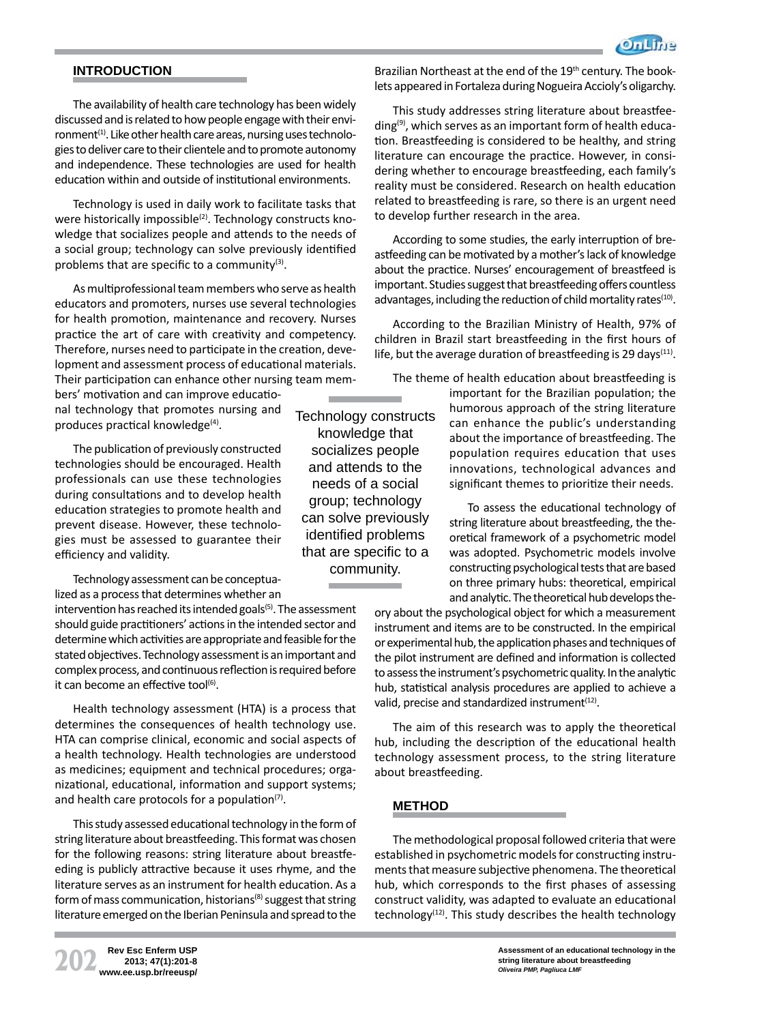# **INTRODUCTION**

The availability of health care technology has been widely discussed and is related to how people engage with their environment<sup>(1)</sup>. Like other health care areas, nursing uses technologies to deliver care to their clientele and to promote autonomy and independence. These technologies are used for health education within and outside of institutional environments.

Technology is used in daily work to facilitate tasks that were historically impossible<sup>(2)</sup>. Technology constructs knowledge that socializes people and attends to the needs of a social group; technology can solve previously identified problems that are specific to a community $(3)$ .

As multiprofessional team members who serve as health educators and promoters, nurses use several technologies for health promotion, maintenance and recovery. Nurses practice the art of care with creativity and competency. Therefore, nurses need to participate in the creation, development and assessment process of educational materials. Their participation can enhance other nursing team mem-

bers' motivation and can improve educational technology that promotes nursing and produces practical knowledge $(4)$ .

The publication of previously constructed technologies should be encouraged. Health professionals can use these technologies during consultations and to develop health education strategies to promote health and prevent disease. However, these technologies must be assessed to guarantee their efficiency and validity.

Technology assessment can be conceptualized as a process that determines whether an

intervention has reached its intended goals<sup>(5)</sup>. The assessment should guide practitioners' actions in the intended sector and determine which activities are appropriate and feasible for the stated objectives. Technology assessment is an important and complex process, and continuous reflection is required before it can become an effective tool $^{(6)}$ .

Health technology assessment (HTA) is a process that determines the consequences of health technology use. HTA can comprise clinical, economic and social aspects of a health technology. Health technologies are understood as medicines; equipment and technical procedures; organizational, educational, information and support systems; and health care protocols for a population $(7)$ .

This study assessed educational technology in the form of string literature about breastfeeding. This format was chosen for the following reasons: string literature about breastfeeding is publicly attractive because it uses rhyme, and the literature serves as an instrument for health education. As a form of mass communication, historians<sup>(8)</sup> suggest that string literature emerged on the Iberian Peninsula and spread to the

**202 Rev Esc Enferm USP www.ee.usp.br/reeusp/ 2013; 47(1):201-8** Technology constructs knowledge that socializes people and attends to the needs of a social group; technology can solve previously identified problems that are specific to a community.

Brazilian Northeast at the end of the 19<sup>th</sup> century. The booklets appeared in Fortaleza during Nogueira Accioly's oligarchy.

This study addresses string literature about breastfeeding<sup>(9)</sup>, which serves as an important form of health education. Breastfeeding is considered to be healthy, and string literature can encourage the practice. However, in considering whether to encourage breastfeeding, each family's reality must be considered. Research on health education related to breastfeeding is rare, so there is an urgent need to develop further research in the area.

According to some studies, the early interruption of breastfeeding can be motivated by a mother's lack of knowledge about the practice. Nurses' encouragement of breastfeed is important. Studies suggest that breastfeeding offers countless advantages, including the reduction of child mortality rates $(10)$ .

According to the Brazilian Ministry of Health, 97% of children in Brazil start breastfeeding in the first hours of life, but the average duration of breastfeeding is 29 days $(11)$ .

The theme of health education about breastfeeding is

important for the Brazilian population; the humorous approach of the string literature can enhance the public's understanding about the importance of breastfeeding. The population requires education that uses innovations, technological advances and significant themes to prioritize their needs.

To assess the educational technology of string literature about breastfeeding, the theoretical framework of a psychometric model was adopted. Psychometric models involve constructing psychological tests that are based on three primary hubs: theoretical, empirical and analytic. The theoretical hub develops the-

ory about the psychological object for which a measurement instrument and items are to be constructed. In the empirical or experimental hub, the application phases and techniques of the pilot instrument are defined and information is collected to assess the instrument's psychometric quality. In the analytic hub, statistical analysis procedures are applied to achieve a valid, precise and standardized instrument<sup>(12)</sup>.

The aim of this research was to apply the theoretical hub, including the description of the educational health technology assessment process, to the string literature about breastfeeding.

# **METHOD**

The methodological proposal followed criteria that were established in psychometric models for constructing instruments that measure subjective phenomena. The theoretical hub, which corresponds to the first phases of assessing construct validity, was adapted to evaluate an educational technology $(12)$ . This study describes the health technology

> **Assessment of an educational technology in the string literature about breastfeeding** *Oliveira PMP, Pagliuca LMF*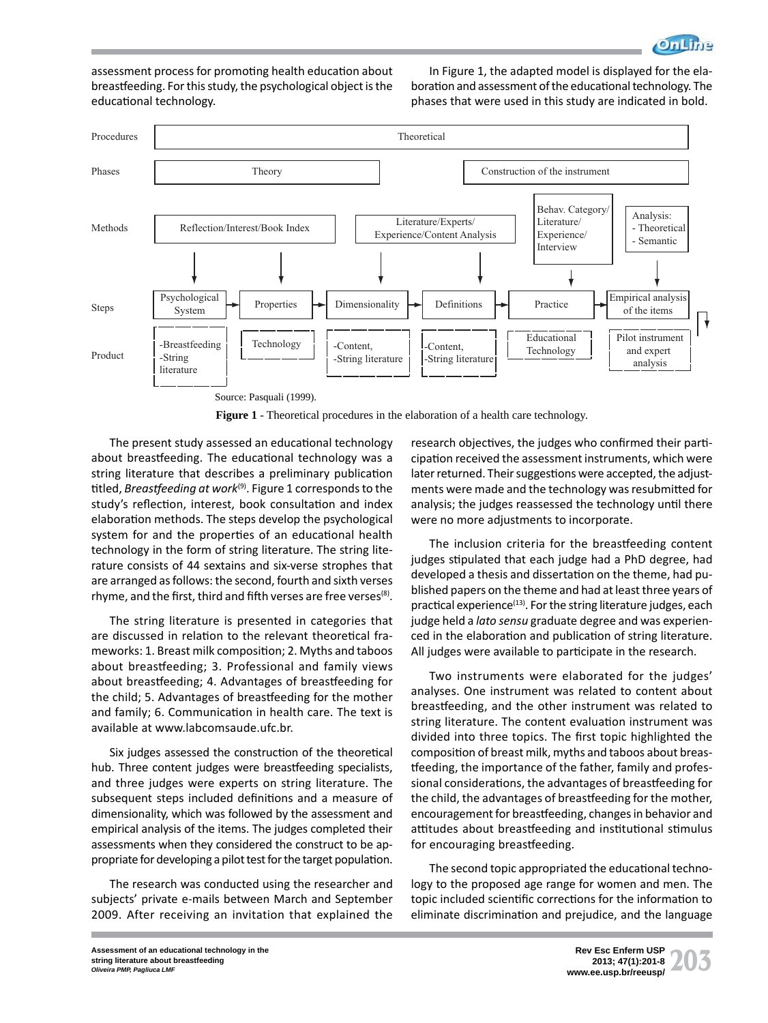

assessment process for promoting health education about breastfeeding. For this study, the psychological object is the educational technology.

In Figure 1, the adapted model is displayed for the elaboration and assessment of the educational technology. The phases that were used in this study are indicated in bold.



**Figure 1** - Theoretical procedures in the elaboration of a health care technology.

The present study assessed an educational technology about breastfeeding. The educational technology was a string literature that describes a preliminary publication titled, *Breastfeeding at work*<sup>(9)</sup>. Figure 1 corresponds to the study's reflection, interest, book consultation and index elaboration methods. The steps develop the psychological system for and the properties of an educational health technology in the form of string literature. The string literature consists of 44 sextains and six-verse strophes that are arranged as follows: the second, fourth and sixth verses rhyme, and the first, third and fifth verses are free verses $(8)$ .

The string literature is presented in categories that are discussed in relation to the relevant theoretical frameworks: 1. Breast milk composition; 2. Myths and taboos about breastfeeding; 3. Professional and family views about breastfeeding; 4. Advantages of breastfeeding for the child; 5. Advantages of breastfeeding for the mother and family; 6. Communication in health care. The text is available at www.labcomsaude.ufc.br.

Six judges assessed the construction of the theoretical hub. Three content judges were breastfeeding specialists, and three judges were experts on string literature. The subsequent steps included definitions and a measure of dimensionality, which was followed by the assessment and empirical analysis of the items. The judges completed their assessments when they considered the construct to be appropriate for developing a pilot test for the target population.

The research was conducted using the researcher and subjects' private e-mails between March and September 2009. After receiving an invitation that explained the research objectives, the judges who confirmed their participation received the assessment instruments, which were later returned. Their suggestions were accepted, the adjustments were made and the technology was resubmitted for analysis; the judges reassessed the technology until there were no more adjustments to incorporate.

The inclusion criteria for the breastfeeding content judges stipulated that each judge had a PhD degree, had developed a thesis and dissertation on the theme, had published papers on the theme and had at least three years of practical experience $(13)$ . For the string literature judges, each judge held a *lato sensu* graduate degree and was experienced in the elaboration and publication of string literature. All judges were available to participate in the research.

Two instruments were elaborated for the judges' analyses. One instrument was related to content about breastfeeding, and the other instrument was related to string literature. The content evaluation instrument was divided into three topics. The first topic highlighted the composition of breast milk, myths and taboos about breastfeeding, the importance of the father, family and professional considerations, the advantages of breastfeeding for the child, the advantages of breastfeeding for the mother, encouragement for breastfeeding, changes in behavior and attitudes about breastfeeding and institutional stimulus for encouraging breastfeeding.

The second topic appropriated the educational technology to the proposed age range for women and men. The topic included scientific corrections for the information to eliminate discrimination and prejudice, and the language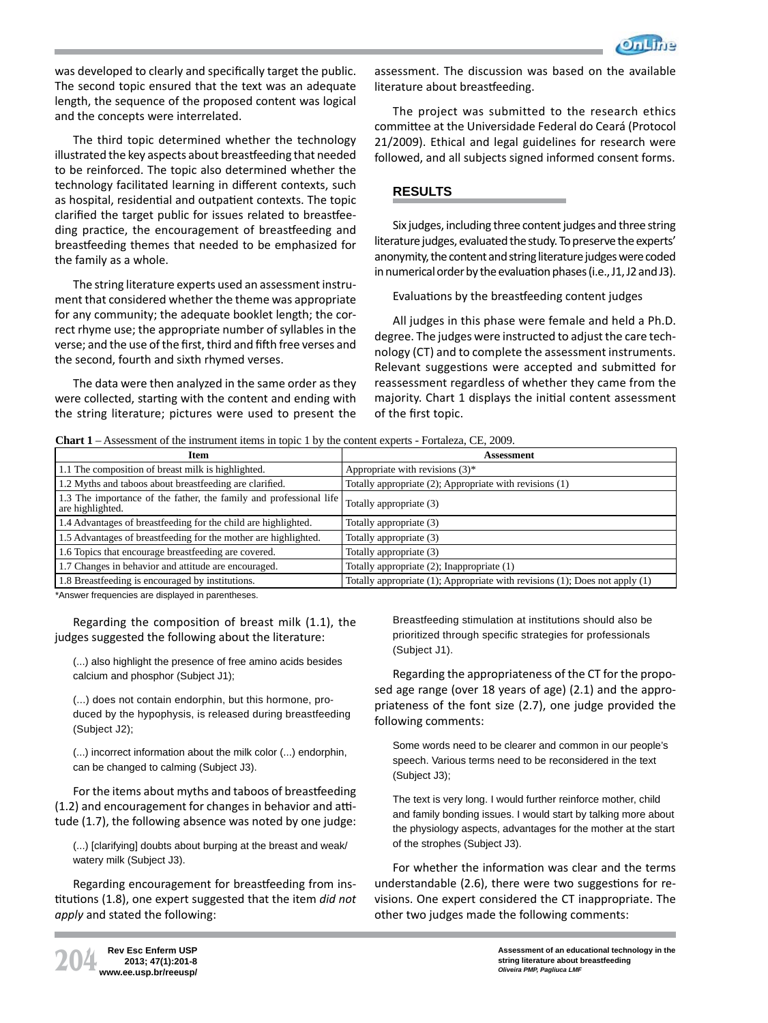

was developed to clearly and specifically target the public. The second topic ensured that the text was an adequate length, the sequence of the proposed content was logical and the concepts were interrelated.

The third topic determined whether the technology illustrated the key aspects about breastfeeding that needed to be reinforced. The topic also determined whether the technology facilitated learning in different contexts, such as hospital, residential and outpatient contexts. The topic clarified the target public for issues related to breastfeeding practice, the encouragement of breastfeeding and breastfeeding themes that needed to be emphasized for the family as a whole.

The string literature experts used an assessment instrument that considered whether the theme was appropriate for any community; the adequate booklet length; the correct rhyme use; the appropriate number of syllables in the verse; and the use of the first, third and fifth free verses and the second, fourth and sixth rhymed verses.

The data were then analyzed in the same order as they were collected, starting with the content and ending with the string literature; pictures were used to present the

assessment. The discussion was based on the available literature about breastfeeding.

The project was submitted to the research ethics committee at the Universidade Federal do Ceará (Protocol 21/2009). Ethical and legal guidelines for research were followed, and all subjects signed informed consent forms.

# **RESULTS**

Six judges, including three content judges and three string literature judges, evaluated the study. To preserve the experts' anonymity, the content and string literature judges were coded in numerical order by the evaluation phases (i.e., J1, J2 and J3).

Evaluations by the breastfeeding content judges

All judges in this phase were female and held a Ph.D. degree. The judges were instructed to adjust the care technology (CT) and to complete the assessment instruments. Relevant suggestions were accepted and submitted for reassessment regardless of whether they came from the majority. Chart 1 displays the initial content assessment of the first topic.

#### **Chart 1** – Assessment of the instrument items in topic 1 by the content experts - Fortaleza, CE, 2009.

| Item                                                                                   | Assessment                                                                  |
|----------------------------------------------------------------------------------------|-----------------------------------------------------------------------------|
| 1.1 The composition of breast milk is highlighted.                                     | Appropriate with revisions $(3)^*$                                          |
| 1.2 Myths and taboos about breastfeeding are clarified.                                | Totally appropriate (2); Appropriate with revisions (1)                     |
| 1.3 The importance of the father, the family and professional life<br>are highlighted. | Totally appropriate (3)                                                     |
| 1.4 Advantages of breastfeeding for the child are highlighted.                         | Totally appropriate (3)                                                     |
| 1.5 Advantages of breastfeeding for the mother are highlighted.                        | Totally appropriate (3)                                                     |
| 1.6 Topics that encourage breastfeeding are covered.                                   | Totally appropriate (3)                                                     |
| 1.7 Changes in behavior and attitude are encouraged.                                   | Totally appropriate (2); Inappropriate (1)                                  |
| 1.8 Breastfeeding is encouraged by institutions.                                       | Totally appropriate (1); Appropriate with revisions (1); Does not apply (1) |

\*Answer frequencies are displayed in parentheses.

Regarding the composition of breast milk (1.1), the judges suggested the following about the literature:

(...) also highlight the presence of free amino acids besides calcium and phosphor (Subject J1);

(...) does not contain endorphin, but this hormone, produced by the hypophysis, is released during breastfeeding (Subject J2);

(...) incorrect information about the milk color (...) endorphin, can be changed to calming (Subject J3).

For the items about myths and taboos of breastfeeding (1.2) and encouragement for changes in behavior and attitude (1.7), the following absence was noted by one judge:

(...) [clarifying] doubts about burping at the breast and weak/ watery milk (Subject J3).

Regarding encouragement for breastfeeding from institutions (1.8), one expert suggested that the item *did not apply* and stated the following:

Breastfeeding stimulation at institutions should also be prioritized through specific strategies for professionals (Subject J1).

Regarding the appropriateness of the CT for the proposed age range (over 18 years of age) (2.1) and the appropriateness of the font size (2.7), one judge provided the following comments:

Some words need to be clearer and common in our people's speech. Various terms need to be reconsidered in the text (Subject J3);

The text is very long. I would further reinforce mother, child and family bonding issues. I would start by talking more about the physiology aspects, advantages for the mother at the start of the strophes (Subject J3).

For whether the information was clear and the terms understandable (2.6), there were two suggestions for revisions. One expert considered the CT inappropriate. The other two judges made the following comments: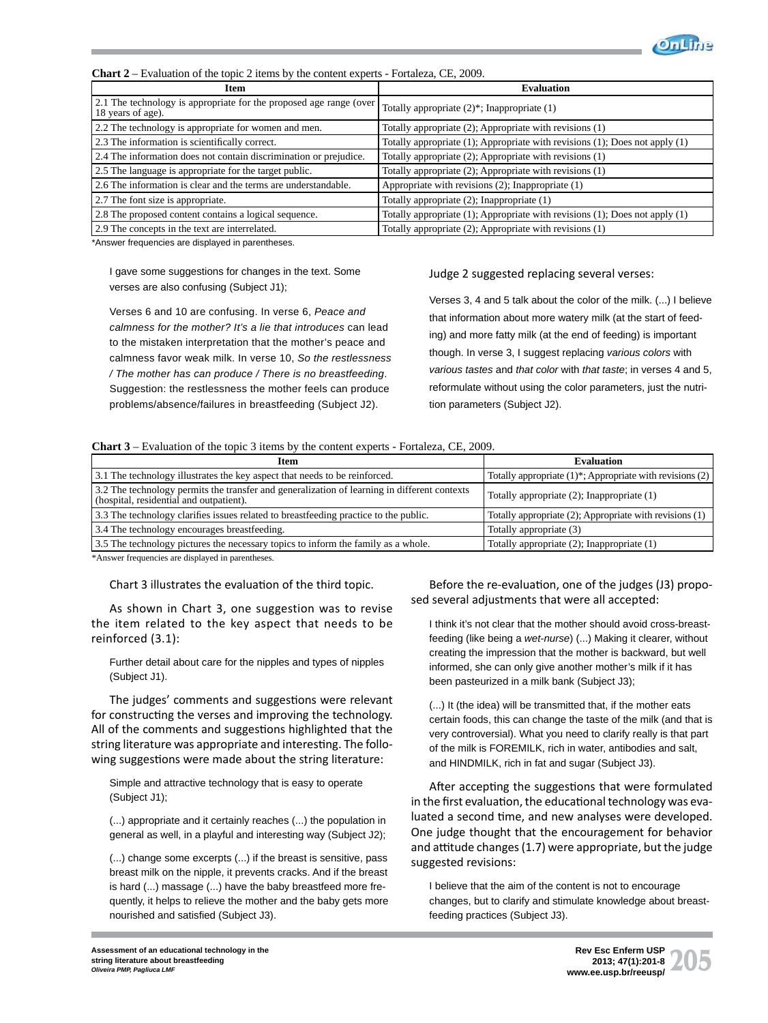

| Item                                                                                    | <b>Evaluation</b>                                                                   |
|-----------------------------------------------------------------------------------------|-------------------------------------------------------------------------------------|
| 2.1 The technology is appropriate for the proposed age range (over<br>18 years of age). | Totally appropriate $(2)$ <sup>*</sup> ; Inappropriate $(1)$                        |
| 2.2 The technology is appropriate for women and men.                                    | Totally appropriate (2); Appropriate with revisions (1)                             |
| 2.3 The information is scientifically correct.                                          | Totally appropriate (1); Appropriate with revisions (1); Does not apply (1)         |
| 2.4 The information does not contain discrimination or prejudice.                       | Totally appropriate (2); Appropriate with revisions (1)                             |
| 2.5 The language is appropriate for the target public.                                  | Totally appropriate (2); Appropriate with revisions (1)                             |
| 2.6 The information is clear and the terms are understandable.                          | Appropriate with revisions (2); Inappropriate (1)                                   |
| 2.7 The font size is appropriate.                                                       | Totally appropriate $(2)$ ; Inappropriate $(1)$                                     |
| 2.8 The proposed content contains a logical sequence.                                   | Totally appropriate $(1)$ ; Appropriate with revisions $(1)$ ; Does not apply $(1)$ |
| 2.9 The concepts in the text are interrelated.                                          | Totally appropriate (2); Appropriate with revisions (1)                             |

**Chart 2** – Evaluation of the topic 2 items by the content experts - Fortaleza, CE, 2009.

\*Answer frequencies are displayed in parentheses.

I gave some suggestions for changes in the text. Some verses are also confusing (Subject J1);

Verses 6 and 10 are confusing. In verse 6, *Peace and calmness for the mother? It's a lie that introduces* can lead to the mistaken interpretation that the mother's peace and calmness favor weak milk. In verse 10, *So the restlessness / The mother has can produce / There is no breastfeeding*. Suggestion: the restlessness the mother feels can produce problems/absence/failures in breastfeeding (Subject J2).

#### Judge 2 suggested replacing several verses:

Verses 3, 4 and 5 talk about the color of the milk. (...) I believe that information about more watery milk (at the start of feeding) and more fatty milk (at the end of feeding) is important though. In verse 3, I suggest replacing *various colors* with *various tastes* and *that color* with *that taste*; in verses 4 and 5, reformulate without using the color parameters, just the nutrition parameters (Subject J2).

#### **Chart 3** – Evaluation of the topic 3 items by the content experts - Fortaleza, CE, 2009.

| <b>Item</b>                                                                                                                             | Evaluation                                                    |
|-----------------------------------------------------------------------------------------------------------------------------------------|---------------------------------------------------------------|
| 3.1 The technology illustrates the key aspect that needs to be reinforced.                                                              | Totally appropriate $(1)$ *; Appropriate with revisions $(2)$ |
| 3.2 The technology permits the transfer and generalization of learning in different contexts<br>(hospital, residential and outpatient). | Totally appropriate (2); Inappropriate (1)                    |
| 3.3 The technology clarifies issues related to breastfeeding practice to the public.                                                    | Totally appropriate (2); Appropriate with revisions (1)       |
| 3.4 The technology encourages breastfeeding.                                                                                            | Totally appropriate (3)                                       |
| 3.5 The technology pictures the necessary topics to inform the family as a whole.                                                       | Totally appropriate (2); Inappropriate (1)                    |

\*Answer frequencies are displayed in parentheses.

Chart 3 illustrates the evaluation of the third topic.

As shown in Chart 3, one suggestion was to revise the item related to the key aspect that needs to be reinforced (3.1):

Further detail about care for the nipples and types of nipples (Subject J1).

The judges' comments and suggestions were relevant for constructing the verses and improving the technology. All of the comments and suggestions highlighted that the string literature was appropriate and interesting. The following suggestions were made about the string literature:

Simple and attractive technology that is easy to operate (Subject J1);

(...) appropriate and it certainly reaches (...) the population in general as well, in a playful and interesting way (Subject J2);

(...) change some excerpts (...) if the breast is sensitive, pass breast milk on the nipple, it prevents cracks. And if the breast is hard (...) massage (...) have the baby breastfeed more frequently, it helps to relieve the mother and the baby gets more nourished and satisfied (Subject J3).

Before the re-evaluation, one of the judges (J3) proposed several adjustments that were all accepted:

I think it's not clear that the mother should avoid cross-breastfeeding (like being a *wet-nurse*) (...) Making it clearer, without creating the impression that the mother is backward, but well informed, she can only give another mother's milk if it has been pasteurized in a milk bank (Subject J3);

(...) It (the idea) will be transmitted that, if the mother eats certain foods, this can change the taste of the milk (and that is very controversial). What you need to clarify really is that part of the milk is FOREMILK, rich in water, antibodies and salt, and HINDMILK, rich in fat and sugar (Subject J3).

After accepting the suggestions that were formulated in the first evaluation, the educational technology was evaluated a second time, and new analyses were developed. One judge thought that the encouragement for behavior and attitude changes (1.7) were appropriate, but the judge suggested revisions:

I believe that the aim of the content is not to encourage changes, but to clarify and stimulate knowledge about breastfeeding practices (Subject J3).

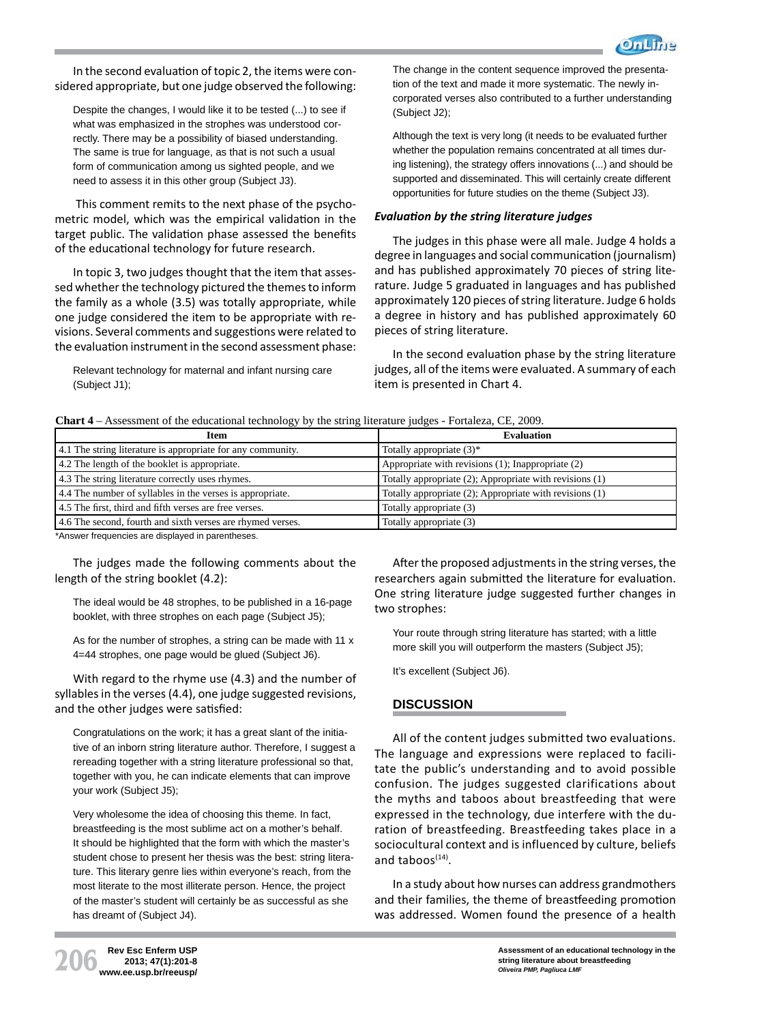

In the second evaluation of topic 2, the items were considered appropriate, but one judge observed the following:

Despite the changes, I would like it to be tested (...) to see if what was emphasized in the strophes was understood correctly. There may be a possibility of biased understanding. The same is true for language, as that is not such a usual form of communication among us sighted people, and we need to assess it in this other group (Subject J3).

This comment remits to the next phase of the psychometric model, which was the empirical validation in the target public. The validation phase assessed the benefits of the educational technology for future research.

In topic 3, two judges thought that the item that assessed whether the technology pictured the themes to inform the family as a whole (3.5) was totally appropriate, while one judge considered the item to be appropriate with revisions. Several comments and suggestions were related to the evaluation instrument in the second assessment phase:

Relevant technology for maternal and infant nursing care (Subject J1);

The change in the content sequence improved the presentation of the text and made it more systematic. The newly incorporated verses also contributed to a further understanding (Subject J2);

Although the text is very long (it needs to be evaluated further whether the population remains concentrated at all times during listening), the strategy offers innovations (...) and should be supported and disseminated. This will certainly create different opportunities for future studies on the theme (Subject J3).

### *EvaluaƟ on by the string literature judges*

The judges in this phase were all male. Judge 4 holds a degree in languages and social communication (journalism) and has published approximately 70 pieces of string literature. Judge 5 graduated in languages and has published approximately 120 pieces of string literature. Judge 6 holds a degree in history and has published approximately 60 pieces of string literature.

In the second evaluation phase by the string literature judges, all of the items were evaluated. A summary of each item is presented in Chart 4.

**Chart 4** – Assessment of the educational technology by the string literature judges - Fortaleza, CE, 2009.

| Item                                                        | <b>Evaluation</b>                                       |
|-------------------------------------------------------------|---------------------------------------------------------|
| 4.1 The string literature is appropriate for any community. | Totally appropriate $(3)^*$                             |
| 4.2 The length of the booklet is appropriate.               | Appropriate with revisions (1); Inappropriate (2)       |
| 4.3 The string literature correctly uses rhymes.            | Totally appropriate (2); Appropriate with revisions (1) |
| 4.4 The number of syllables in the verses is appropriate.   | Totally appropriate (2); Appropriate with revisions (1) |
| 4.5 The first, third and fifth verses are free verses.      | Totally appropriate (3)                                 |
| 4.6 The second, fourth and sixth verses are rhymed verses.  | Totally appropriate (3)                                 |

\*Answer frequencies are displayed in parentheses.

The judges made the following comments about the length of the string booklet (4.2):

The ideal would be 48 strophes, to be published in a 16-page booklet, with three strophes on each page (Subject J5);

As for the number of strophes, a string can be made with 11 x 4=44 strophes, one page would be glued (Subject J6).

With regard to the rhyme use (4.3) and the number of syllables in the verses (4.4), one judge suggested revisions, and the other judges were satisfied:

Congratulations on the work; it has a great slant of the initiative of an inborn string literature author. Therefore, I suggest a rereading together with a string literature professional so that, together with you, he can indicate elements that can improve your work (Subject J5);

Very wholesome the idea of choosing this theme. In fact, breastfeeding is the most sublime act on a mother's behalf. It should be highlighted that the form with which the master's student chose to present her thesis was the best: string literature. This literary genre lies within everyone's reach, from the most literate to the most illiterate person. Hence, the project of the master's student will certainly be as successful as she has dreamt of (Subject J4).

After the proposed adjustments in the string verses, the researchers again submitted the literature for evaluation. One string literature judge suggested further changes in two strophes:

Your route through string literature has started; with a little more skill you will outperform the masters (Subject J5);

It's excellent (Subject J6).

# **DISCUSSION**

All of the content judges submitted two evaluations. The language and expressions were replaced to facilitate the public's understanding and to avoid possible confusion. The judges suggested clarifications about the myths and taboos about breastfeeding that were expressed in the technology, due interfere with the duration of breastfeeding. Breastfeeding takes place in a sociocultural context and is influenced by culture, beliefs and taboos $(14)$ .

In a study about how nurses can address grandmothers and their families, the theme of breastfeeding promotion was addressed. Women found the presence of a health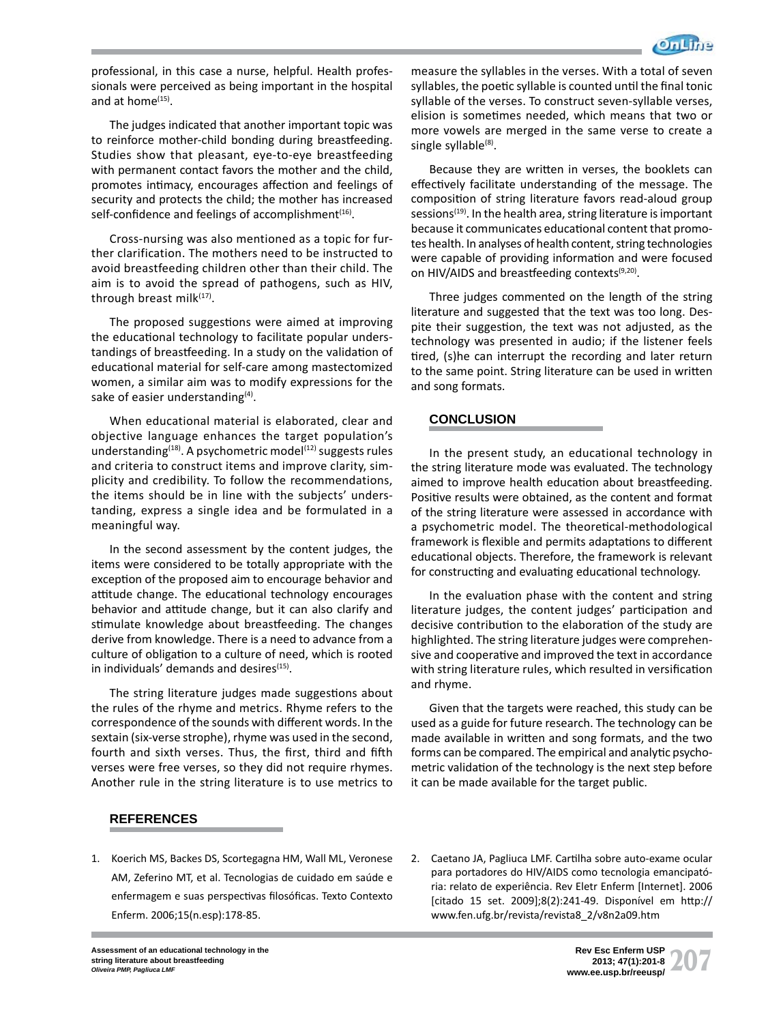

professional, in this case a nurse, helpful. Health professionals were perceived as being important in the hospital and at home<sup>(15)</sup>.

The judges indicated that another important topic was to reinforce mother-child bonding during breastfeeding. Studies show that pleasant, eye-to-eye breastfeeding with permanent contact favors the mother and the child, promotes intimacy, encourages affection and feelings of security and protects the child; the mother has increased self-confidence and feelings of accomplishment $(16)$ .

Cross-nursing was also mentioned as a topic for further clarification. The mothers need to be instructed to avoid breastfeeding children other than their child. The aim is to avoid the spread of pathogens, such as HIV, through breast milk $(17)$ .

The proposed suggestions were aimed at improving the educational technology to facilitate popular understandings of breastfeeding. In a study on the validation of educational material for self-care among mastectomized women, a similar aim was to modify expressions for the sake of easier understanding $(4)$ .

When educational material is elaborated, clear and objective language enhances the target population's understanding<sup>(18)</sup>. A psychometric model<sup>(12)</sup> suggests rules and criteria to construct items and improve clarity, simplicity and credibility. To follow the recommendations, the items should be in line with the subjects' understanding, express a single idea and be formulated in a meaningful way.

In the second assessment by the content judges, the items were considered to be totally appropriate with the exception of the proposed aim to encourage behavior and attitude change. The educational technology encourages behavior and attitude change, but it can also clarify and stimulate knowledge about breastfeeding. The changes derive from knowledge. There is a need to advance from a culture of obligation to a culture of need, which is rooted in individuals' demands and desires<sup>(15)</sup>.

The string literature judges made suggestions about the rules of the rhyme and metrics. Rhyme refers to the correspondence of the sounds with different words. In the sextain (six-verse strophe), rhyme was used in the second, fourth and sixth verses. Thus, the first, third and fifth verses were free verses, so they did not require rhymes. Another rule in the string literature is to use metrics to

measure the syllables in the verses. With a total of seven syllables, the poetic syllable is counted until the final tonic syllable of the verses. To construct seven-syllable verses, elision is sometimes needed, which means that two or more vowels are merged in the same verse to create a single syllable<sup>(8)</sup>.

Because they are written in verses, the booklets can effectively facilitate understanding of the message. The composition of string literature favors read-aloud group sessions $(19)$ . In the health area, string literature is important because it communicates educational content that promotes health. In analyses of health content, string technologies were capable of providing information and were focused on HIV/AIDS and breastfeeding contexts<sup>(9,20)</sup>.

Three judges commented on the length of the string literature and suggested that the text was too long. Despite their suggestion, the text was not adjusted, as the technology was presented in audio; if the listener feels tired, (s)he can interrupt the recording and later return to the same point. String literature can be used in written and song formats.

# **CONCLUSION**

In the present study, an educational technology in the string literature mode was evaluated. The technology aimed to improve health education about breastfeeding. Positive results were obtained, as the content and format of the string literature were assessed in accordance with a psychometric model. The theoretical-methodological framework is flexible and permits adaptations to different educational objects. Therefore, the framework is relevant for constructing and evaluating educational technology.

In the evaluation phase with the content and string literature judges, the content judges' participation and decisive contribution to the elaboration of the study are highlighted. The string literature judges were comprehensive and cooperative and improved the text in accordance with string literature rules, which resulted in versification and rhyme.

Given that the targets were reached, this study can be used as a guide for future research. The technology can be made available in written and song formats, and the two forms can be compared. The empirical and analytic psychometric validation of the technology is the next step before it can be made available for the target public.

# **REFERENCES**

- 1. Koerich MS, Backes DS, Scortegagna HM, Wall ML, Veronese AM, Zeferino MT, et al. Tecnologias de cuidado em saúde e enfermagem e suas perspectivas filosóficas. Texto Contexto Enferm. 2006;15(n.esp):178-85.
- 2. Caetano JA, Pagliuca LMF. Cartilha sobre auto-exame ocular para portadores do HIV/AIDS como tecnologia emancipatória: relato de experiência. Rev Eletr Enferm [Internet]. 2006 [citado 15 set. 2009];8(2):241-49. Disponível em http:// www.fen.ufg.br/revista/revista8\_2/v8n2a09.htm